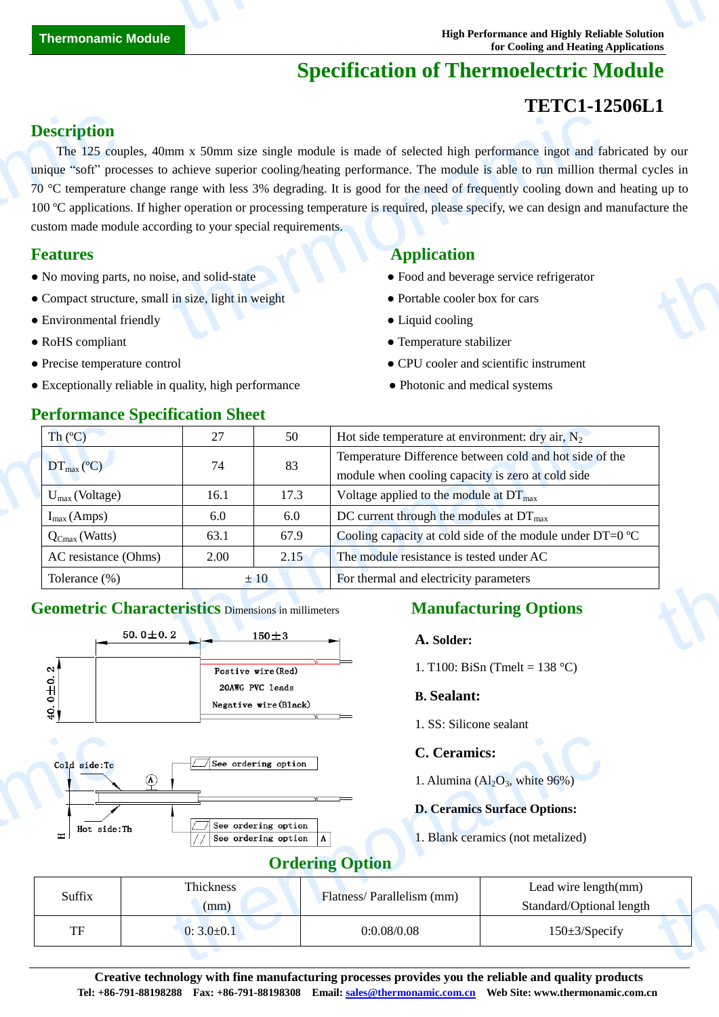# **Specification of Thermoelectric Module**

# **TETC1-12506L1**

# **Description**

The 125 couples, 40mm x 50mm size single module is made of selected high performance ingot and fabricated by our unique "soft" processes to achieve superior cooling/heating performance. The module is able to run million thermal cycles in 70 °C temperature change range with less 3% degrading. It is good for the need of frequently cooling down and heating up to 100 ºC applications. If higher operation or processing temperature is required, please specify, we can design and manufacture the custom made module according to your special requirements. **Description**<br>The 125 couply<br>unique "soft" processor<br>100 C application<br>custom made model<br>**Features**<br>• No moving parts<br>• Compact structue<br>• Environmental f THE TRIM ISON SURVEY TO THE TRIM THE TRIM THE TRIM ISON THE TRIM TRIM IN A SURVEY OF THE STATE OF THE MODEL IS A SHOW THE TRIM ISON OF THE MODEL IS A SHOW THAT THE MODEL IS A SHOW THAT THE OPERATOR OF THE OPERATOR OF THE T thermon<br>thermonamic state of the state of the state of the state of the state of the state of the state of the state of the state of the state of the state of the state of the state of the state of the state of the state o

- No moving parts, no noise, and solid-state <br>• Food and beverage service refrigerator
- Compact structure, small in size, light in weight **•** Portable cooler box for cars
- Environmental friendly Liquid cooling
- 
- 
- Exceptionally reliable in quality, high performance Photonic and medical systems

**Performance Specification Sheet** 

# **Features Application Application**

- 
- 
- 
- RoHS compliant Temperature stabilizer
- Precise temperature control CPU cooler and scientific instrument
	-

| $\text{Th}(\mathbb{C})$                                                      | 27   | 50        | Hot side temperature at environment: dry air, $N_2$                                                          |
|------------------------------------------------------------------------------|------|-----------|--------------------------------------------------------------------------------------------------------------|
| $DT_{\text{max}}(\mathbb{C})$                                                | 74   | 83        | Temperature Difference between cold and hot side of the<br>module when cooling capacity is zero at cold side |
| $U_{\text{max}}$ (Voltage)                                                   | 16.1 | 17.3      | Voltage applied to the module at $DT_{\text{max}}$                                                           |
| $I_{max}(Amps)$                                                              | 6.0  | 6.0       | DC current through the modules at $DT_{\text{max}}$                                                          |
| $Q_{Cmax}$ (Watts)                                                           | 63.1 | 67.9      | Cooling capacity at cold side of the module under DT=0 $\mathbb{C}$                                          |
| AC resistance (Ohms)                                                         | 2.00 | 2.15      | The module resistance is tested under AC                                                                     |
| Tolerance $(\%)$                                                             |      | ±10       | For thermal and electricity parameters                                                                       |
| <b>Geometric Characteristics Dimensions in millimeters</b><br>$50.0 \pm 0.2$ |      | $150 + 3$ | <b>Manufacturing Options</b><br>A. Solder:                                                                   |

## **Geometric Characteristics** Dimensions in millimeters **Manufacturing Options**



#### **A. Solder:**

1. T100: BiSn (Tmelt = 138 °C)

### **B. Sealant:**

1. SS: Silicone sealant

### **C. Ceramics:**

### **D. Ceramics Surface Options:**

## **Ordering Option**

| Cold side:Tc<br>Hot side:Th<br>$\equiv$ | See ordering option<br>$^{\circledR}$<br>See ordering option<br>See ordering option | <b>C.</b> Ceramics:<br><b>Ordering Option</b> | 1. Alumina $\left( \text{Al}_2\text{O}_3 \right)$ , white 96%)<br><b>D. Ceramics Surface Options:</b><br>1. Blank ceramics (not metalized) |  |
|-----------------------------------------|-------------------------------------------------------------------------------------|-----------------------------------------------|--------------------------------------------------------------------------------------------------------------------------------------------|--|
| Suffix                                  | Thickness<br>(mm)                                                                   | Flatness/Parallelism (mm)                     | Lead wire length(mm)<br>Standard/Optional length                                                                                           |  |
| <b>TF</b>                               | $0:3.0 \pm 0.1$                                                                     | 0:0.08/0.08                                   | $150 \pm 3$ /Specify                                                                                                                       |  |
|                                         |                                                                                     |                                               |                                                                                                                                            |  |

**Creative technology with fine manufacturing processes provides you the reliable and quality products Tel: +86-791-88198288 Fax: +86-791-88198308 Email: sales@thermonamic.com.cn Web Site: www.thermonamic.com.cn**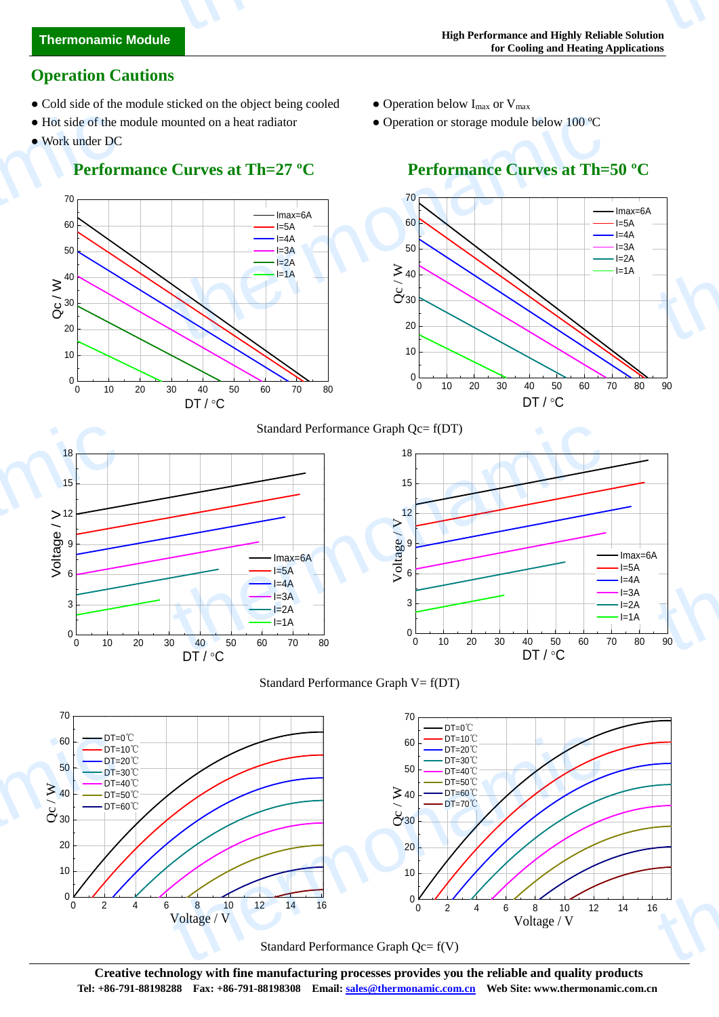# **Thermonamic Module** thermonamic

# **Operation Cautions**

- Cold side of the module sticked on the object being cooled Operation below  $I_{max}$  or  $V_{max}$
- Hot side of the module mounted on a heat radiator Operation or storage module below 100 °C
- Work under DC

# **Performance Curves at Th=27 °C** Performance Curves at Th=50 °C

- 
- 







Standard Performance Graph Qc= f(V)